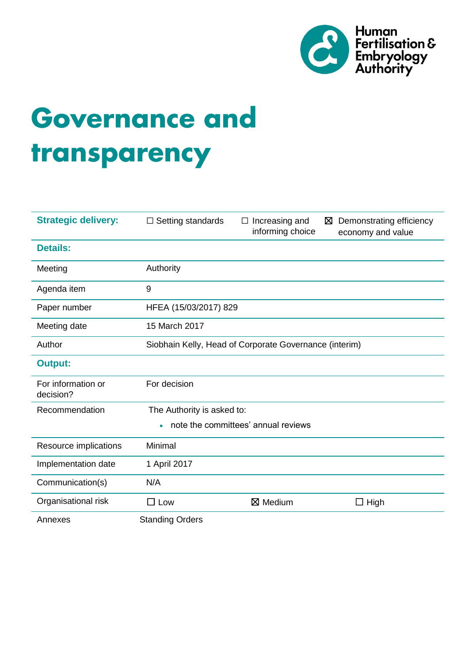

# **Governance and** transparency

| <b>Strategic delivery:</b>                       | $\Box$ Setting standards                               | Increasing and<br>$\Box$<br>informing choice | Demonstrating efficiency<br>⊠<br>economy and value |
|--------------------------------------------------|--------------------------------------------------------|----------------------------------------------|----------------------------------------------------|
| <b>Details:</b>                                  |                                                        |                                              |                                                    |
| Meeting                                          | Authority                                              |                                              |                                                    |
| Agenda item                                      | 9                                                      |                                              |                                                    |
| Paper number                                     | HFEA (15/03/2017) 829                                  |                                              |                                                    |
| Meeting date                                     | 15 March 2017                                          |                                              |                                                    |
| Author                                           | Siobhain Kelly, Head of Corporate Governance (interim) |                                              |                                                    |
| <b>Output:</b>                                   |                                                        |                                              |                                                    |
| For information or<br>decision?                  | For decision                                           |                                              |                                                    |
| Recommendation                                   | The Authority is asked to:                             |                                              |                                                    |
| note the committees' annual reviews<br>$\bullet$ |                                                        |                                              |                                                    |
| Resource implications                            | Minimal                                                |                                              |                                                    |
| Implementation date                              | 1 April 2017                                           |                                              |                                                    |
| Communication(s)                                 | N/A                                                    |                                              |                                                    |
| Organisational risk                              | $\square$ Low                                          | $\boxtimes$ Medium                           | High<br>$\Box$                                     |
| Annexes                                          | <b>Standing Orders</b>                                 |                                              |                                                    |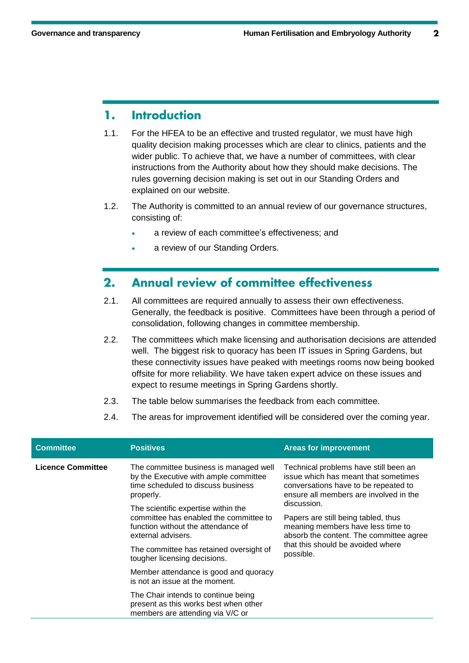## **Introduction** 1.

- 1.1. For the HFEA to be an effective and trusted regulator, we must have high quality decision making processes which are clear to clinics, patients and the wider public. To achieve that, we have a number of committees, with clear instructions from the Authority about how they should make decisions. The rules governing decision making is set out in our Standing Orders and explained on our website.
- 1.2. The Authority is committed to an annual review of our governance structures, consisting of:
	- a review of each committee's effectiveness; and
	- a review of our Standing Orders.

### **Annual review of committee effectiveness**  $2.$

- 2.1. All committees are required annually to assess their own effectiveness. Generally, the feedback is positive. Committees have been through a period of consolidation, following changes in committee membership.
- 2.2. The committees which make licensing and authorisation decisions are attended well. The biggest risk to quoracy has been IT issues in Spring Gardens, but these connectivity issues have peaked with meetings rooms now being booked offsite for more reliability. We have taken expert advice on these issues and expect to resume meetings in Spring Gardens shortly.
- 2.3. The table below summarises the feedback from each committee.
- 2.4. The areas for improvement identified will be considered over the coming year.

| <b>Committee</b>         | <b>Positives</b>                                                                                                                          | <b>Areas for improvement</b>                                                                                                                                                   |  |
|--------------------------|-------------------------------------------------------------------------------------------------------------------------------------------|--------------------------------------------------------------------------------------------------------------------------------------------------------------------------------|--|
| <b>Licence Committee</b> | The committee business is managed well<br>by the Executive with ample committee<br>time scheduled to discuss business<br>properly.        | Technical problems have still been an<br>issue which has meant that sometimes<br>conversations have to be repeated to<br>ensure all members are involved in the<br>discussion. |  |
|                          | The scientific expertise within the<br>committee has enabled the committee to<br>function without the attendance of<br>external advisers. |                                                                                                                                                                                |  |
|                          |                                                                                                                                           | Papers are still being tabled, thus<br>meaning members have less time to<br>absorb the content. The committee agree<br>that this should be avoided where<br>possible.          |  |
|                          | The committee has retained oversight of<br>tougher licensing decisions.                                                                   |                                                                                                                                                                                |  |
|                          | Member attendance is good and quoracy<br>is not an issue at the moment.                                                                   |                                                                                                                                                                                |  |
|                          | The Chair intends to continue being<br>present as this works best when other<br>members are attending via V/C or                          |                                                                                                                                                                                |  |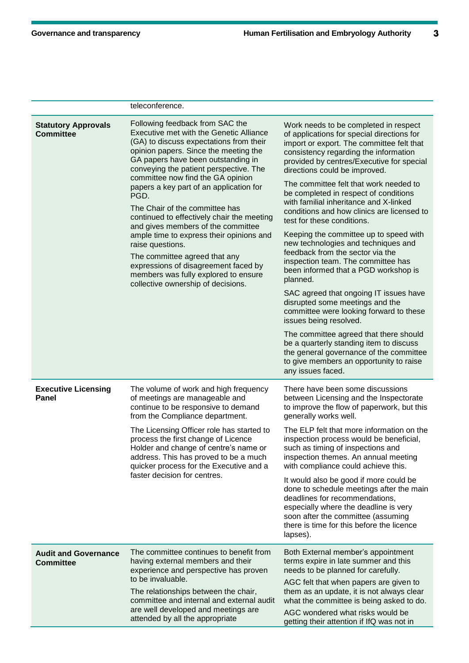|                                                 | teleconference.                                                                                                                                                                                                                                                                                                                                                                                                                                                                                                                                                                                                                                                                     |                                                                                                                                                                                                                                                                                         |
|-------------------------------------------------|-------------------------------------------------------------------------------------------------------------------------------------------------------------------------------------------------------------------------------------------------------------------------------------------------------------------------------------------------------------------------------------------------------------------------------------------------------------------------------------------------------------------------------------------------------------------------------------------------------------------------------------------------------------------------------------|-----------------------------------------------------------------------------------------------------------------------------------------------------------------------------------------------------------------------------------------------------------------------------------------|
| <b>Statutory Approvals</b><br><b>Committee</b>  | Following feedback from SAC the<br>Executive met with the Genetic Alliance<br>(GA) to discuss expectations from their<br>opinion papers. Since the meeting the<br>GA papers have been outstanding in<br>conveying the patient perspective. The<br>committee now find the GA opinion<br>papers a key part of an application for<br>PGD.<br>The Chair of the committee has<br>continued to effectively chair the meeting<br>and gives members of the committee<br>ample time to express their opinions and<br>raise questions.<br>The committee agreed that any<br>expressions of disagreement faced by<br>members was fully explored to ensure<br>collective ownership of decisions. | Work needs to be completed in respect<br>of applications for special directions for<br>import or export. The committee felt that<br>consistency regarding the information<br>provided by centres/Executive for special<br>directions could be improved.                                 |
|                                                 |                                                                                                                                                                                                                                                                                                                                                                                                                                                                                                                                                                                                                                                                                     | The committee felt that work needed to<br>be completed in respect of conditions<br>with familial inheritance and X-linked<br>conditions and how clinics are licensed to<br>test for these conditions.                                                                                   |
|                                                 |                                                                                                                                                                                                                                                                                                                                                                                                                                                                                                                                                                                                                                                                                     | Keeping the committee up to speed with<br>new technologies and techniques and<br>feedback from the sector via the<br>inspection team. The committee has<br>been informed that a PGD workshop is<br>planned.                                                                             |
|                                                 |                                                                                                                                                                                                                                                                                                                                                                                                                                                                                                                                                                                                                                                                                     | SAC agreed that ongoing IT issues have<br>disrupted some meetings and the<br>committee were looking forward to these<br>issues being resolved.                                                                                                                                          |
|                                                 |                                                                                                                                                                                                                                                                                                                                                                                                                                                                                                                                                                                                                                                                                     | The committee agreed that there should<br>be a quarterly standing item to discuss<br>the general governance of the committee<br>to give members an opportunity to raise<br>any issues faced.                                                                                            |
| <b>Executive Licensing</b><br>Panel             | The volume of work and high frequency<br>of meetings are manageable and<br>continue to be responsive to demand<br>from the Compliance department.                                                                                                                                                                                                                                                                                                                                                                                                                                                                                                                                   | There have been some discussions<br>between Licensing and the Inspectorate<br>to improve the flow of paperwork, but this<br>generally works well.                                                                                                                                       |
|                                                 | The Licensing Officer role has started to<br>process the first change of Licence<br>Holder and change of centre's name or<br>address. This has proved to be a much<br>quicker process for the Executive and a<br>faster decision for centres.                                                                                                                                                                                                                                                                                                                                                                                                                                       | The ELP felt that more information on the<br>inspection process would be beneficial,<br>such as timing of inspections and<br>inspection themes. An annual meeting<br>with compliance could achieve this.                                                                                |
|                                                 |                                                                                                                                                                                                                                                                                                                                                                                                                                                                                                                                                                                                                                                                                     | It would also be good if more could be<br>done to schedule meetings after the main<br>deadlines for recommendations,<br>especially where the deadline is very<br>soon after the committee (assuming<br>there is time for this before the licence<br>lapses).                            |
| <b>Audit and Governance</b><br><b>Committee</b> | The committee continues to benefit from<br>having external members and their<br>experience and perspective has proven<br>to be invaluable.                                                                                                                                                                                                                                                                                                                                                                                                                                                                                                                                          | Both External member's appointment<br>terms expire in late summer and this<br>needs to be planned for carefully.<br>AGC felt that when papers are given to<br>them as an update, it is not always clear<br>what the committee is being asked to do.<br>AGC wondered what risks would be |
|                                                 | The relationships between the chair,<br>committee and internal and external audit<br>are well developed and meetings are<br>attended by all the appropriate                                                                                                                                                                                                                                                                                                                                                                                                                                                                                                                         |                                                                                                                                                                                                                                                                                         |
|                                                 |                                                                                                                                                                                                                                                                                                                                                                                                                                                                                                                                                                                                                                                                                     | getting their attention if IfQ was not in                                                                                                                                                                                                                                               |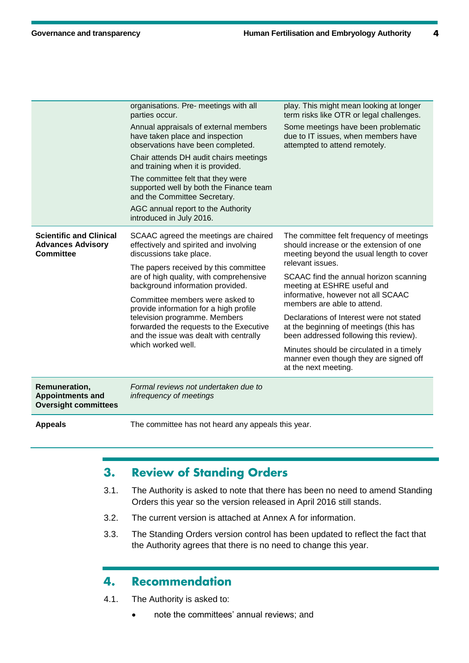4

| organisations. Pre- meetings with all<br>parties occur.                        |                                                                                                                                                                                                                                                                                                                                               | play. This might mean looking at longer<br>term risks like OTR or legal challenges.                                                                            |
|--------------------------------------------------------------------------------|-----------------------------------------------------------------------------------------------------------------------------------------------------------------------------------------------------------------------------------------------------------------------------------------------------------------------------------------------|----------------------------------------------------------------------------------------------------------------------------------------------------------------|
|                                                                                | Annual appraisals of external members<br>have taken place and inspection<br>observations have been completed.                                                                                                                                                                                                                                 | Some meetings have been problematic<br>due to IT issues, when members have<br>attempted to attend remotely.                                                    |
|                                                                                | Chair attends DH audit chairs meetings<br>and training when it is provided.                                                                                                                                                                                                                                                                   |                                                                                                                                                                |
|                                                                                | The committee felt that they were<br>supported well by both the Finance team<br>and the Committee Secretary.                                                                                                                                                                                                                                  |                                                                                                                                                                |
|                                                                                | AGC annual report to the Authority<br>introduced in July 2016.                                                                                                                                                                                                                                                                                |                                                                                                                                                                |
| <b>Scientific and Clinical</b><br><b>Advances Advisory</b><br><b>Committee</b> | SCAAC agreed the meetings are chaired<br>effectively and spirited and involving<br>discussions take place.                                                                                                                                                                                                                                    | The committee felt frequency of meetings<br>should increase or the extension of one<br>meeting beyond the usual length to cover                                |
|                                                                                | The papers received by this committee<br>are of high quality, with comprehensive<br>background information provided.<br>Committee members were asked to<br>provide information for a high profile<br>television programme. Members<br>forwarded the requests to the Executive<br>and the issue was dealt with centrally<br>which worked well. | relevant issues.<br>SCAAC find the annual horizon scanning<br>meeting at ESHRE useful and<br>informative, however not all SCAAC<br>members are able to attend. |
|                                                                                |                                                                                                                                                                                                                                                                                                                                               |                                                                                                                                                                |
|                                                                                |                                                                                                                                                                                                                                                                                                                                               | Minutes should be circulated in a timely<br>manner even though they are signed off<br>at the next meeting.                                                     |
|                                                                                |                                                                                                                                                                                                                                                                                                                                               | Remuneration,<br><b>Appointments and</b><br><b>Oversight committees</b>                                                                                        |
| <b>Appeals</b>                                                                 | The committee has not heard any appeals this year.                                                                                                                                                                                                                                                                                            |                                                                                                                                                                |

# **Review of Standing Orders**  $3.$

- 3.1. The Authority is asked to note that there has been no need to amend Standing Orders this year so the version released in April 2016 still stands.
- 3.2. The current version is attached at Annex A for information.
- 3.3. The Standing Orders version control has been updated to reflect the fact that the Authority agrees that there is no need to change this year.

### **Recommendation** 4.

- 4.1. The Authority is asked to:
	- note the committees' annual reviews; and